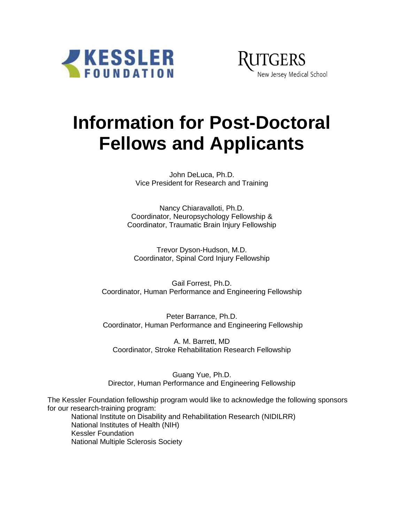



# **Information for Post-Doctoral Fellows and Applicants**

John DeLuca, Ph.D. Vice President for Research and Training

Nancy Chiaravalloti, Ph.D. Coordinator, Neuropsychology Fellowship & Coordinator, Traumatic Brain Injury Fellowship

Trevor Dyson-Hudson, M.D. Coordinator, Spinal Cord Injury Fellowship

Gail Forrest, Ph.D. Coordinator, Human Performance and Engineering Fellowship

Peter Barrance, Ph.D. Coordinator, Human Performance and Engineering Fellowship

A. M. Barrett, MD Coordinator, Stroke Rehabilitation Research Fellowship

Guang Yue, Ph.D. Director, Human Performance and Engineering Fellowship

The Kessler Foundation fellowship program would like to acknowledge the following sponsors for our research-training program: National Institute on Disability and Rehabilitation Research (NIDILRR) National Institutes of Health (NIH) Kessler Foundation National Multiple Sclerosis Society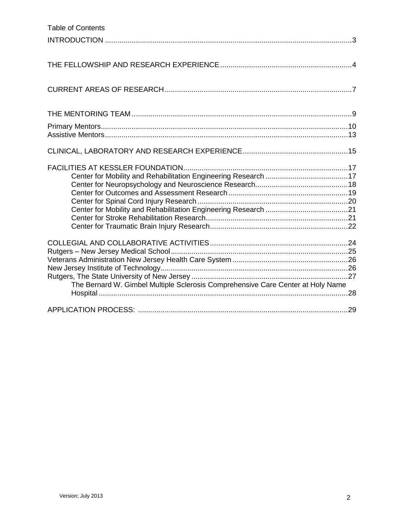| <b>Table of Contents</b>                                                        |  |
|---------------------------------------------------------------------------------|--|
|                                                                                 |  |
|                                                                                 |  |
|                                                                                 |  |
|                                                                                 |  |
|                                                                                 |  |
|                                                                                 |  |
|                                                                                 |  |
|                                                                                 |  |
|                                                                                 |  |
|                                                                                 |  |
|                                                                                 |  |
|                                                                                 |  |
|                                                                                 |  |
|                                                                                 |  |
|                                                                                 |  |
|                                                                                 |  |
|                                                                                 |  |
|                                                                                 |  |
|                                                                                 |  |
|                                                                                 |  |
|                                                                                 |  |
|                                                                                 |  |
|                                                                                 |  |
|                                                                                 |  |
|                                                                                 |  |
| The Bernard W. Gimbel Multiple Sclerosis Comprehensive Care Center at Holy Name |  |
|                                                                                 |  |
|                                                                                 |  |
|                                                                                 |  |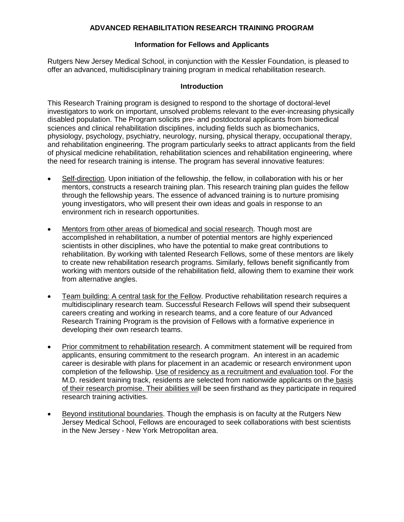## **ADVANCED REHABILITATION RESEARCH TRAINING PROGRAM**

#### **Information for Fellows and Applicants**

Rutgers New Jersey Medical School, in conjunction with the Kessler Foundation, is pleased to offer an advanced, multidisciplinary training program in medical rehabilitation research.

#### **Introduction**

This Research Training program is designed to respond to the shortage of doctoral-level investigators to work on important, unsolved problems relevant to the ever-increasing physically disabled population. The Program solicits pre- and postdoctoral applicants from biomedical sciences and clinical rehabilitation disciplines, including fields such as biomechanics, physiology, psychology, psychiatry, neurology, nursing, physical therapy, occupational therapy, and rehabilitation engineering. The program particularly seeks to attract applicants from the field of physical medicine rehabilitation, rehabilitation sciences and rehabilitation engineering, where the need for research training is intense. The program has several innovative features:

- Self-direction. Upon initiation of the fellowship, the fellow, in collaboration with his or her mentors, constructs a research training plan. This research training plan guides the fellow through the fellowship years. The essence of advanced training is to nurture promising young investigators, who will present their own ideas and goals in response to an environment rich in research opportunities.
- Mentors from other areas of biomedical and social research. Though most are accomplished in rehabilitation, a number of potential mentors are highly experienced scientists in other disciplines, who have the potential to make great contributions to rehabilitation. By working with talented Research Fellows, some of these mentors are likely to create new rehabilitation research programs. Similarly, fellows benefit significantly from working with mentors outside of the rehabilitation field, allowing them to examine their work from alternative angles.
- Team building: A central task for the Fellow. Productive rehabilitation research requires a multidisciplinary research team. Successful Research Fellows will spend their subsequent careers creating and working in research teams, and a core feature of our Advanced Research Training Program is the provision of Fellows with a formative experience in developing their own research teams.
- Prior commitment to rehabilitation research. A commitment statement will be required from applicants, ensuring commitment to the research program. An interest in an academic career is desirable with plans for placement in an academic or research environment upon completion of the fellowship. Use of residency as a recruitment and evaluation tool. For the M.D. resident training track, residents are selected from nationwide applicants on the basis of their research promise. Their abilities will be seen firsthand as they participate in required research training activities.
- Beyond institutional boundaries. Though the emphasis is on faculty at the Rutgers New Jersey Medical School, Fellows are encouraged to seek collaborations with best scientists in the New Jersey - New York Metropolitan area.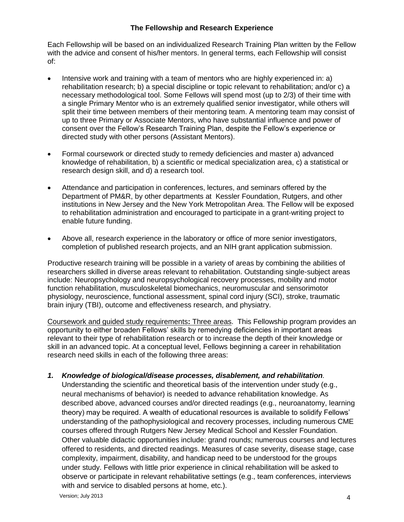## **The Fellowship and Research Experience**

Each Fellowship will be based on an individualized Research Training Plan written by the Fellow with the advice and consent of his/her mentors. In general terms, each Fellowship will consist of:

- Intensive work and training with a team of mentors who are highly experienced in: a) rehabilitation research; b) a special discipline or topic relevant to rehabilitation; and/or c) a necessary methodological tool. Some Fellows will spend most (up to 2/3) of their time with a single Primary Mentor who is an extremely qualified senior investigator, while others will split their time between members of their mentoring team. A mentoring team may consist of up to three Primary or Associate Mentors, who have substantial influence and power of consent over the Fellow's Research Training Plan, despite the Fellow's experience or directed study with other persons (Assistant Mentors).
- Formal coursework or directed study to remedy deficiencies and master a) advanced knowledge of rehabilitation, b) a scientific or medical specialization area, c) a statistical or research design skill, and d) a research tool.
- Attendance and participation in conferences, lectures, and seminars offered by the Department of PM&R, by other departments at Kessler Foundation, Rutgers, and other institutions in New Jersey and the New York Metropolitan Area. The Fellow will be exposed to rehabilitation administration and encouraged to participate in a grant-writing project to enable future funding.
- Above all, research experience in the laboratory or office of more senior investigators, completion of published research projects, and an NIH grant application submission.

Productive research training will be possible in a variety of areas by combining the abilities of researchers skilled in diverse areas relevant to rehabilitation. Outstanding single-subject areas include: Neuropsychology and neuropsychological recovery processes, mobility and motor function rehabilitation, musculoskeletal biomechanics, neuromuscular and sensorimotor physiology, neuroscience, functional assessment, spinal cord injury (SCI), stroke, traumatic brain injury (TBI), outcome and effectiveness research, and physiatry.

Coursework and guided study requirements**:** Three areas. This Fellowship program provides an opportunity to either broaden Fellows' skills by remedying deficiencies in important areas relevant to their type of rehabilitation research or to increase the depth of their knowledge or skill in an advanced topic. At a conceptual level, Fellows beginning a career in rehabilitation research need skills in each of the following three areas:

*1. Knowledge of biological/disease processes, disablement, and rehabilitation.*

Understanding the scientific and theoretical basis of the intervention under study (e.g., neural mechanisms of behavior) is needed to advance rehabilitation knowledge. As described above, advanced courses and/or directed readings (e.g., neuroanatomy, learning theory) may be required. A wealth of educational resources is available to solidify Fellows' understanding of the pathophysiological and recovery processes, including numerous CME courses offered through Rutgers New Jersey Medical School and Kessler Foundation. Other valuable didactic opportunities include: grand rounds; numerous courses and lectures offered to residents, and directed readings. Measures of case severity, disease stage, case complexity, impairment, disability, and handicap need to be understood for the groups under study. Fellows with little prior experience in clinical rehabilitation will be asked to observe or participate in relevant rehabilitative settings (e.g., team conferences, interviews with and service to disabled persons at home, etc.).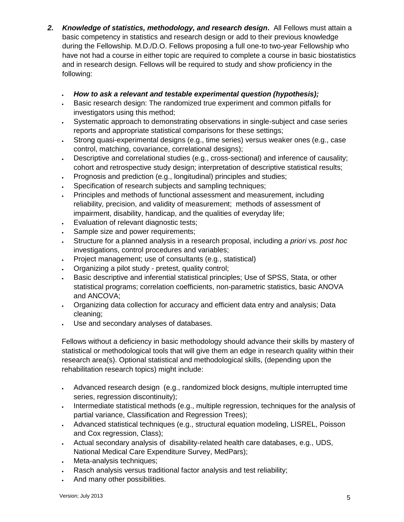- *2. Knowledge of statistics, methodology, and research design***.** All Fellows must attain a basic competency in statistics and research design or add to their previous knowledge during the Fellowship. M.D./D.O. Fellows proposing a full one-to two-year Fellowship who have not had a course in either topic are required to complete a course in basic biostatistics and in research design. Fellows will be required to study and show proficiency in the following:
	- *How to ask a relevant and testable experimental question (hypothesis);*
	- Basic research design: The randomized true experiment and common pitfalls for investigators using this method;
	- Systematic approach to demonstrating observations in single-subject and case series reports and appropriate statistical comparisons for these settings;
	- Strong quasi-experimental designs (e.g., time series) versus weaker ones (e.g., case control, matching, covariance, correlational designs);
	- Descriptive and correlational studies (e.g., cross-sectional) and inference of causality; cohort and retrospective study design; interpretation of descriptive statistical results;
	- Prognosis and prediction (e.g., longitudinal) principles and studies;
	- Specification of research subjects and sampling techniques:
	- Principles and methods of functional assessment and measurement, including reliability, precision, and validity of measurement; methods of assessment of impairment, disability, handicap, and the qualities of everyday life;
	- Evaluation of relevant diagnostic tests;
	- Sample size and power requirements;
	- Structure for a planned analysis in a research proposal, including *a priori* vs. *post hoc* investigations, control procedures and variables;
	- Project management; use of consultants (e.g., statistical)
	- Organizing a pilot study pretest, quality control;
	- Basic descriptive and inferential statistical principles; Use of SPSS, Stata, or other statistical programs; correlation coefficients, non-parametric statistics, basic ANOVA and ANCOVA;
	- Organizing data collection for accuracy and efficient data entry and analysis; Data cleaning;
	- Use and secondary analyses of databases.

Fellows without a deficiency in basic methodology should advance their skills by mastery of statistical or methodological tools that will give them an edge in research quality within their research area(s). Optional statistical and methodological skills, (depending upon the rehabilitation research topics) might include:

- Advanced research design (e.g., randomized block designs, multiple interrupted time series, regression discontinuity);
- . Intermediate statistical methods (e.g., multiple regression, techniques for the analysis of partial variance, Classification and Regression Trees);
- Advanced statistical techniques (e.g., structural equation modeling, LISREL, Poisson and Cox regression, Class);
- Actual secondary analysis of disability-related health care databases, e.g., UDS, National Medical Care Expenditure Survey, MedPars);
- Meta-analysis techniques;
- Rasch analysis versus traditional factor analysis and test reliability;
- And many other possibilities.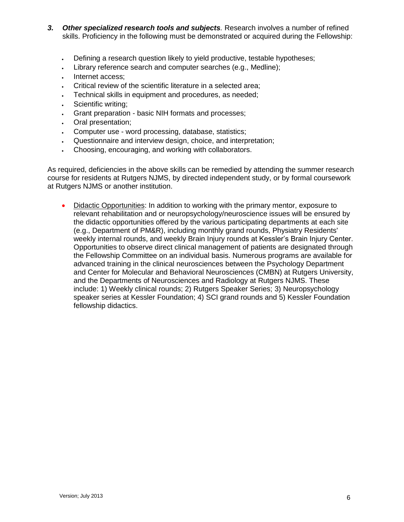- *3. Other specialized research tools and subjects.* Research involves a number of refined skills. Proficiency in the following must be demonstrated or acquired during the Fellowship:
	- Defining a research question likely to yield productive, testable hypotheses;
	- Library reference search and computer searches (e.g., Medline);
	- Internet access;
	- Critical review of the scientific literature in a selected area;
	- Technical skills in equipment and procedures, as needed;
	- Scientific writing;
	- Grant preparation basic NIH formats and processes;
	- Oral presentation;
	- Computer use word processing, database, statistics;
	- Questionnaire and interview design, choice, and interpretation;
	- Choosing, encouraging, and working with collaborators.

As required, deficiencies in the above skills can be remedied by attending the summer research course for residents at Rutgers NJMS, by directed independent study, or by formal coursework at Rutgers NJMS or another institution.

 Didactic Opportunities: In addition to working with the primary mentor, exposure to relevant rehabilitation and or neuropsychology/neuroscience issues will be ensured by the didactic opportunities offered by the various participating departments at each site (e.g., Department of PM&R), including monthly grand rounds, Physiatry Residents' weekly internal rounds, and weekly Brain Injury rounds at Kessler's Brain Injury Center. Opportunities to observe direct clinical management of patients are designated through the Fellowship Committee on an individual basis. Numerous programs are available for advanced training in the clinical neurosciences between the Psychology Department and Center for Molecular and Behavioral Neurosciences (CMBN) at Rutgers University, and the Departments of Neurosciences and Radiology at Rutgers NJMS. These include: 1) Weekly clinical rounds; 2) Rutgers Speaker Series; 3) Neuropsychology speaker series at Kessler Foundation; 4) SCI grand rounds and 5) Kessler Foundation fellowship didactics.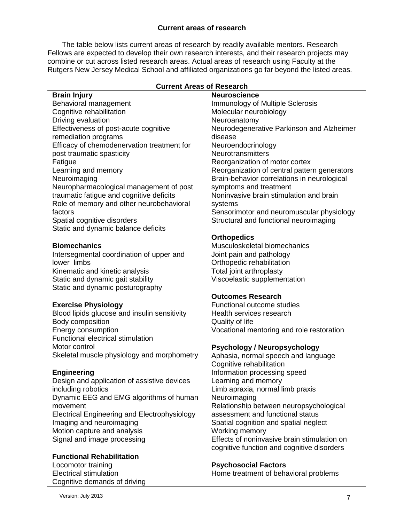## **Current areas of research**

The table below lists current areas of research by readily available mentors. Research Fellows are expected to develop their own research interests, and their research projects may combine or cut across listed research areas. Actual areas of research using Faculty at the Rutgers New Jersey Medical School and affiliated organizations go far beyond the listed areas.

| <b>Current Areas of Research</b>             |                                              |  |
|----------------------------------------------|----------------------------------------------|--|
| <b>Brain Injury</b>                          | <b>Neuroscience</b>                          |  |
| Behavioral management                        | <b>Immunology of Multiple Sclerosis</b>      |  |
| Cognitive rehabilitation                     | Molecular neurobiology                       |  |
| Driving evaluation                           | Neuroanatomy                                 |  |
| Effectiveness of post-acute cognitive        | Neurodegenerative Parkinson and Alzheimer    |  |
| remediation programs                         | disease                                      |  |
| Efficacy of chemodenervation treatment for   | Neuroendocrinology                           |  |
| post traumatic spasticity                    | Neurotransmitters                            |  |
| Fatigue                                      | Reorganization of motor cortex               |  |
| Learning and memory                          | Reorganization of central pattern generators |  |
| Neuroimaging                                 | Brain-behavior correlations in neurological  |  |
| Neuropharmacological management of post      | symptoms and treatment                       |  |
| traumatic fatigue and cognitive deficits     | Noninvasive brain stimulation and brain      |  |
| Role of memory and other neurobehavioral     | systems                                      |  |
| factors                                      | Sensorimotor and neuromuscular physiology    |  |
| Spatial cognitive disorders                  | Structural and functional neuroimaging       |  |
| Static and dynamic balance deficits          |                                              |  |
|                                              | <b>Orthopedics</b>                           |  |
| <b>Biomechanics</b>                          | Musculoskeletal biomechanics                 |  |
| Intersegmental coordination of upper and     | Joint pain and pathology                     |  |
| lower limbs                                  | Orthopedic rehabilitation                    |  |
| Kinematic and kinetic analysis               | Total joint arthroplasty                     |  |
| Static and dynamic gait stability            | Viscoelastic supplementation                 |  |
| Static and dynamic posturography             |                                              |  |
|                                              | <b>Outcomes Research</b>                     |  |
| <b>Exercise Physiology</b>                   | Functional outcome studies                   |  |
| Blood lipids glucose and insulin sensitivity | Health services research                     |  |
| Body composition                             | Quality of life                              |  |
| Energy consumption                           | Vocational mentoring and role restoration    |  |
| Functional electrical stimulation            |                                              |  |
| Motor control                                | <b>Psychology / Neuropsychology</b>          |  |
| Skeletal muscle physiology and morphometry   | Aphasia, normal speech and language          |  |
|                                              | Cognitive rehabilitation                     |  |

#### **Current Areas of Research**

#### **Engineering**

Design and application of assistive devices including robotics Dynamic EEG and EMG algorithms of human movement Electrical Engineering and Electrophysiology Imaging and neuroimaging Motion capture and analysis Signal and image processing

#### **Functional Rehabilitation**

Locomotor training Electrical stimulation Cognitive demands of driving

Cognitive rehabilitation Information processing speed Learning and memory Limb apraxia, normal limb praxis **Neuroimaging** Relationship between neuropsychological assessment and functional status Spatial cognition and spatial neglect Working memory Effects of noninvasive brain stimulation on cognitive function and cognitive disorders

#### **Psychosocial Factors**

Home treatment of behavioral problems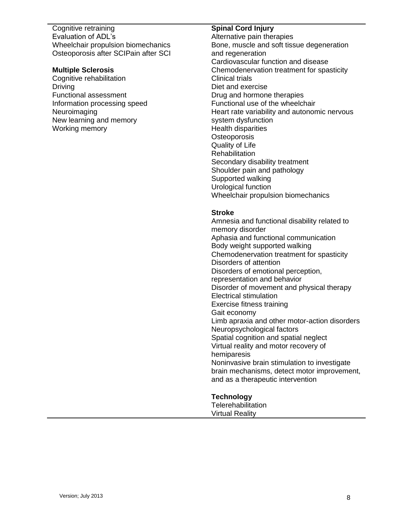Cognitive retraining Evaluation of ADL's Wheelchair propulsion biomechanics Osteoporosis after SCIPain after SCI

#### **Multiple Sclerosis**

Cognitive rehabilitation Driving Functional assessment Information processing speed Neuroimaging New learning and memory Working memory

#### **Spinal Cord Injury**

Alternative pain therapies Bone, muscle and soft tissue degeneration and regeneration Cardiovascular function and disease Chemodenervation treatment for spasticity Clinical trials Diet and exercise Drug and hormone therapies Functional use of the wheelchair Heart rate variability and autonomic nervous system dysfunction Health disparities **Osteoporosis** Quality of Life **Rehabilitation** Secondary disability treatment Shoulder pain and pathology Supported walking Urological function Wheelchair propulsion biomechanics

#### **Stroke**

Amnesia and functional disability related to memory disorder Aphasia and functional communication Body weight supported walking Chemodenervation treatment for spasticity Disorders of attention Disorders of emotional perception, representation and behavior Disorder of movement and physical therapy Electrical stimulation Exercise fitness training Gait economy Limb apraxia and other motor-action disorders Neuropsychological factors Spatial cognition and spatial neglect Virtual reality and motor recovery of hemiparesis Noninvasive brain stimulation to investigate brain mechanisms, detect motor improvement, and as a therapeutic intervention

# **Technology**

**Telerehabilitation** Virtual Reality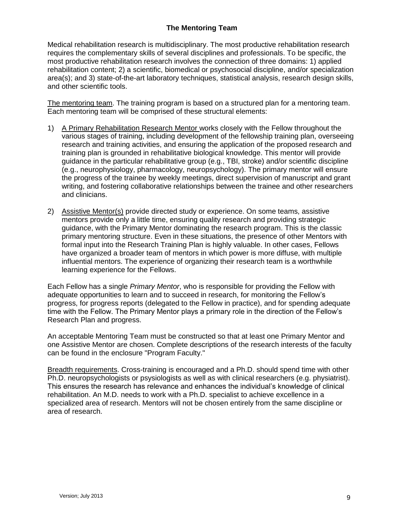# **The Mentoring Team**

Medical rehabilitation research is multidisciplinary. The most productive rehabilitation research requires the complementary skills of several disciplines and professionals. To be specific, the most productive rehabilitation research involves the connection of three domains: 1) applied rehabilitation content; 2) a scientific, biomedical or psychosocial discipline, and/or specialization area(s); and 3) state-of-the-art laboratory techniques, statistical analysis, research design skills, and other scientific tools.

The mentoring team. The training program is based on a structured plan for a mentoring team. Each mentoring team will be comprised of these structural elements:

- 1) A Primary Rehabilitation Research Mentor works closely with the Fellow throughout the various stages of training, including development of the fellowship training plan, overseeing research and training activities, and ensuring the application of the proposed research and training plan is grounded in rehabilitative biological knowledge. This mentor will provide guidance in the particular rehabilitative group (e.g., TBI, stroke) and/or scientific discipline (e.g., neurophysiology, pharmacology, neuropsychology). The primary mentor will ensure the progress of the trainee by weekly meetings, direct supervision of manuscript and grant writing, and fostering collaborative relationships between the trainee and other researchers and clinicians.
- 2) Assistive Mentor(s) provide directed study or experience. On some teams, assistive mentors provide only a little time, ensuring quality research and providing strategic guidance, with the Primary Mentor dominating the research program. This is the classic primary mentoring structure. Even in these situations, the presence of other Mentors with formal input into the Research Training Plan is highly valuable. In other cases, Fellows have organized a broader team of mentors in which power is more diffuse, with multiple influential mentors. The experience of organizing their research team is a worthwhile learning experience for the Fellows.

Each Fellow has a single *Primary Mentor*, who is responsible for providing the Fellow with adequate opportunities to learn and to succeed in research, for monitoring the Fellow's progress, for progress reports (delegated to the Fellow in practice), and for spending adequate time with the Fellow. The Primary Mentor plays a primary role in the direction of the Fellow's Research Plan and progress.

An acceptable Mentoring Team must be constructed so that at least one Primary Mentor and one Assistive Mentor are chosen. Complete descriptions of the research interests of the faculty can be found in the enclosure "Program Faculty."

Breadth requirements. Cross-training is encouraged and a Ph.D. should spend time with other Ph.D. neuropsychologists or psysiologists as well as with clinical researchers (e.g. physiatrist). This ensures the research has relevance and enhances the individual's knowledge of clinical rehabilitation. An M.D. needs to work with a Ph.D. specialist to achieve excellence in a specialized area of research. Mentors will not be chosen entirely from the same discipline or area of research.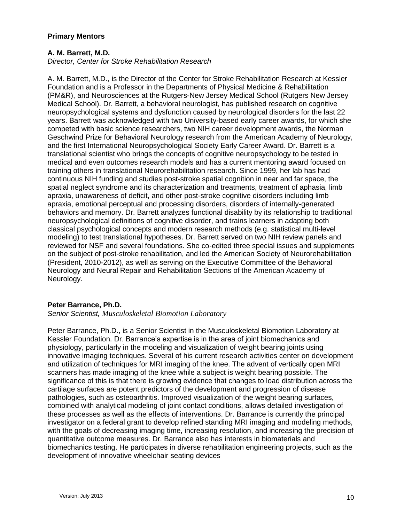## **Primary Mentors**

## **A. M. Barrett, M.D.**

*Director, Center for Stroke Rehabilitation Research*

A. M. Barrett, M.D., is the Director of the Center for Stroke Rehabilitation Research at Kessler Foundation and is a Professor in the Departments of Physical Medicine & Rehabilitation (PM&R), and Neurosciences at the Rutgers-New Jersey Medical School (Rutgers New Jersey Medical School). Dr. Barrett, a behavioral neurologist, has published research on cognitive neuropsychological systems and dysfunction caused by neurological disorders for the last 22 years. Barrett was acknowledged with two University-based early career awards, for which she competed with basic science researchers, two NIH career development awards, the Norman Geschwind Prize for Behavioral Neurology research from the American Academy of Neurology, and the first International Neuropsychological Society Early Career Award. Dr. Barrett is a translational scientist who brings the concepts of cognitive neuropsychology to be tested in medical and even outcomes research models and has a current mentoring award focused on training others in translational Neurorehabilitation research. Since 1999, her lab has had continuous NIH funding and studies post-stroke spatial cognition in near and far space, the spatial neglect syndrome and its characterization and treatments, treatment of aphasia, limb apraxia, unawareness of deficit, and other post-stroke cognitive disorders including limb apraxia, emotional perceptual and processing disorders, disorders of internally-generated behaviors and memory. Dr. Barrett analyzes functional disability by its relationship to traditional neuropsychological definitions of cognitive disorder, and trains learners in adapting both classical psychological concepts and modern research methods (e.g. statistical multi-level modeling) to test translational hypotheses. Dr. Barrett served on two NIH review panels and reviewed for NSF and several foundations. She co-edited three special issues and supplements on the subject of post-stroke rehabilitation, and led the American Society of Neurorehabilitation (President, 2010-2012), as well as serving on the Executive Committee of the Behavioral Neurology and Neural Repair and Rehabilitation Sections of the American Academy of Neurology.

## **Peter Barrance, Ph.D.**

#### *Senior Scientist, Musculoskeletal Biomotion Laboratory*

Peter Barrance, Ph.D., is a Senior Scientist in the Musculoskeletal Biomotion Laboratory at Kessler Foundation. Dr. Barrance's expertise is in the area of joint biomechanics and physiology, particularly in the modeling and visualization of weight bearing joints using innovative imaging techniques. Several of his current research activities center on development and utilization of techniques for MRI imaging of the knee. The advent of vertically open MRI scanners has made imaging of the knee while a subject is weight bearing possible. The significance of this is that there is growing evidence that changes to load distribution across the cartilage surfaces are potent predictors of the development and progression of disease pathologies, such as osteoarthritis. Improved visualization of the weight bearing surfaces, combined with analytical modeling of joint contact conditions, allows detailed investigation of these processes as well as the effects of interventions. Dr. Barrance is currently the principal investigator on a federal grant to develop refined standing MRI imaging and modeling methods, with the goals of decreasing imaging time, increasing resolution, and increasing the precision of quantitative outcome measures. Dr. Barrance also has interests in biomaterials and biomechanics testing. He participates in diverse rehabilitation engineering projects, such as the development of innovative wheelchair seating devices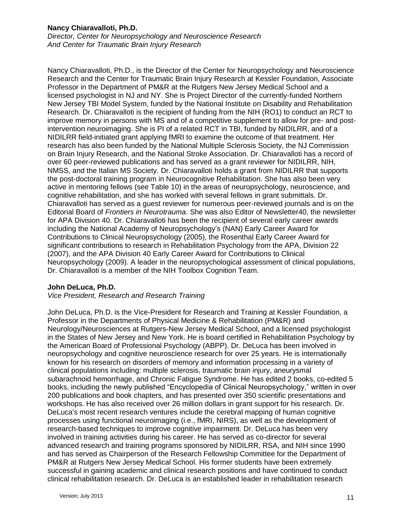## **Nancy Chiaravalloti, Ph.D.**

*Director, Center for Neuropsychology and Neuroscience Research And Center for Traumatic Brain Injury Research*

Nancy Chiaravalloti, Ph.D., is the Director of the Center for Neuropsychology and Neuroscience Research and the Center for Traumatic Brain Injury Research at Kessler Foundation, Associate Professor in the Department of PM&R at the Rutgers New Jersey Medical School and a licensed psychologist in NJ and NY. She is Project Director of the currently-funded Northern New Jersey TBI Model System, funded by the National Institute on Disability and Rehabilitation Research. Dr. Chiaravalloti is the recipient of funding from the NIH (RO1) to conduct an RCT to improve memory in persons with MS and of a competitive supplement to allow for pre- and postintervention neuroimaging. She is PI of a related RCT in TBI, funded by NIDILRR, and of a NIDILRR field-initiated grant applying fMRI to examine the outcome of that treatment. Her research has also been funded by the National Multiple Sclerosis Society, the NJ Commission on Brain Injury Research, and the National Stroke Association. Dr. Chiaravalloti has a record of over 60 peer-reviewed publications and has served as a grant reviewer for NIDILRR, NIH, NMSS, and the Italian MS Society. Dr. Chiaravalloti holds a grant from NIDILRR that supports the post-doctoral training program in Neurocognitive Rehabilitation. She has also been very active in mentoring fellows (see Table 10) in the areas of neuropsychology, neuroscience, and cognitive rehabilitation, and she has worked with several fellows in grant submittals. Dr. Chiaravalloti has served as a guest reviewer for numerous peer-reviewed journals and is on the Editorial Board of *Frontiers in Neurotrauma*. She was also Editor of Newsletter40, the newsletter for APA Division 40. Dr. Chiaravalloti has been the recipient of several early career awards including the National Academy of Neuropsychology's (NAN) Early Career Award for Contributions to Clinical Neuropsychology (2005), the Rosenthal Early Career Award for significant contributions to research in Rehabilitation Psychology from the APA, Division 22 (2007), and the APA Division 40 Early Career Award for Contributions to Clinical Neuropsychology (2009). A leader in the neuropsychological assessment of clinical populations, Dr. Chiaravalloti is a member of the NIH Toolbox Cognition Team.

## **John DeLuca, Ph.D.**

#### *Vice President, Research and Research Training*

John DeLuca, Ph.D. is the Vice-President for Research and Training at Kessler Foundation, a Professor in the Departments of Physical Medicine & Rehabilitation (PM&R) and Neurology/Neurosciences at Rutgers-New Jersey Medical School, and a licensed psychologist in the States of New Jersey and New York. He is board certified in Rehabilitation Psychology by the American Board of Professional Psychology (ABPP). Dr. DeLuca has been involved in neuropsychology and cognitive neuroscience research for over 25 years. He is internationally known for his research on disorders of memory and information processing in a variety of clinical populations including: multiple sclerosis, traumatic brain injury, aneurysmal subarachnoid hemorrhage, and Chronic Fatigue Syndrome. He has edited 2 books, co-edited 5 books, including the newly published "Encyclopedia of Clinical Neuropsychology," written in over 200 publications and book chapters, and has presented over 350 scientific presentations and workshops. He has also received over 26 million dollars in grant support for his research. Dr. DeLuca's most recent research ventures include the cerebral mapping of human cognitive processes using functional neuroimaging (i.e., fMRI, NIRS), as well as the development of research-based techniques to improve cognitive impairment. Dr. DeLuca has been very involved in training activities during his career. He has served as co-director for several advanced research and training programs sponsored by NIDILRR, RSA, and NIH since 1990 and has served as Chairperson of the Research Fellowship Committee for the Department of PM&R at Rutgers New Jersey Medical School. His former students have been extremely successful in gaining academic and clinical research positions and have continued to conduct clinical rehabilitation research. Dr. DeLuca is an established leader in rehabilitation research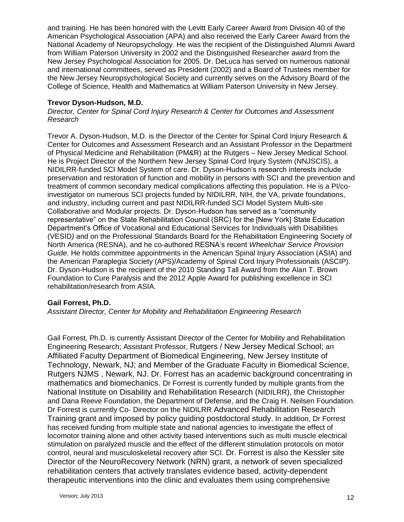and training. He has been honored with the Levitt Early Career Award from Division 40 of the American Psychological Association (APA) and also received the Early Career Award from the National Academy of Neuropsychology. He was the recipient of the Distinguished Alumni Award from William Paterson University in 2002 and the Distinguished Researcher award from the New Jersey Psychological Association for 2005. Dr. DeLuca has served on numerous national and international committees, served as President (2002) and a Board of Trustees member for the New Jersey Neuropsychological Society and currently serves on the Advisory Board of the College of Science, Health and Mathematics at William Paterson University in New Jersey.

## **Trevor Dyson-Hudson, M.D.**

*Director, Center for Spinal Cord Injury Research & Center for Outcomes and Assessment Research* 

Trevor A. Dyson-Hudson, M.D. is the Director of the Center for Spinal Cord Injury Research & Center for Outcomes and Assessment Research and an Assistant Professor in the Department of Physical Medicine and Rehabilitation (PM&R) at the Rutgers – New Jersey Medical School. He is Project Director of the Northern New Jersey Spinal Cord Injury System (NNJSCIS), a NIDILRR-funded SCI Model System of care. Dr. Dyson-Hudson's research interests include preservation and restoration of function and mobility in persons with SCI and the prevention and treatment of common secondary medical complications affecting this population. He is a PI/coinvestigator on numerous SCI projects funded by NIDILRR, NIH, the VA, private foundations, and industry, including current and past NIDILRR-funded SCI Model System Multi-site Collaborative and Modular projects. Dr. Dyson-Hudson has served as a "community representative" on the State Rehabilitation Council (SRC) for the [New York] State Education Department's Office of Vocational and Educational Services for Individuals with Disabilities (VESID*)* and on the Professional Standards Board for the Rehabilitation Engineering Society of North America (RESNA), and he co-authored RESNA's recent *Wheelchair Service Provision Guide*. He holds committee appointments in the American Spinal Injury Association (ASIA) and the American Paraplegia Society (APS)/Academy of Spinal Cord Injury Professionals (ASCIP). Dr. Dyson-Hudson is the recipient of the 2010 Standing Tall Award from the Alan T. Brown Foundation to Cure Paralysis and the 2012 Apple Award for publishing excellence in SCI rehabilitation/research from ASIA.

## **Gail Forrest, Ph.D.**

*Assistant Director, Center for Mobility and Rehabilitation Engineering Research*

Gail Forrest, Ph.D. is currently Assistant Director of the Center for Mobility and Rehabilitation Engineering Research; Assistant Professor, Rutgers / New Jersey Medical School; an Affiliated Faculty Department of Biomedical Engineering, New Jersey Institute of Technology, Newark, NJ; and Member of the Graduate Faculty in Biomedical Science, Rutgers NJMS , Newark, NJ. Dr. Forrest has an academic background concentrating in mathematics and biomechanics. Dr Forrest is currently funded by multiple grants from the National Institute on Disability and Rehabilitation Research (NIDILRR), the Christopher and Dana Reeve Foundation, the Department of Defense, and the Craig H. Neilsen Foundation. Dr Forrest is currently Co- Director on the NIDILRR Advanced Rehabilitation Research Training grant and imposed by policy guiding postdoctoral study. In addition, Dr Forrest has received funding from multiple state and national agencies to investigate the effect of locomotor training alone and other activity based interventions such as multi muscle electrical stimulation on paralyzed muscle and the effect of the different stimulation protocols on motor control, neural and musculoskeletal recovery after SCI. Dr. Forrest is also the Kessler site Director of the NeuroRecovery Network (NRN) grant, a network of seven specialized rehabilitation centers that actively translates evidence based, activity-dependent therapeutic interventions into the clinic and evaluates them using comprehensive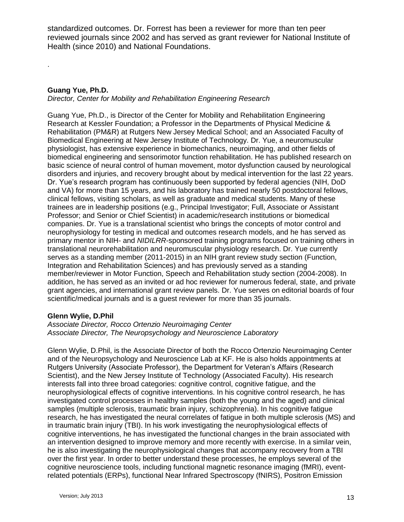standardized outcomes. Dr. Forrest has been a reviewer for more than ten peer reviewed journals since 2002 and has served as grant reviewer for National Institute of Health (since 2010) and National Foundations.

## **Guang Yue, Ph.D.**

.

*Director, Center for Mobility and Rehabilitation Engineering Research*

Guang Yue, Ph.D., is Director of the Center for Mobility and Rehabilitation Engineering Research at Kessler Foundation; a Professor in the Departments of Physical Medicine & Rehabilitation (PM&R) at Rutgers New Jersey Medical School; and an Associated Faculty of Biomedical Engineering at New Jersey Institute of Technology. Dr. Yue, a neuromuscular physiologist, has extensive experience in biomechanics, neuroimaging, and other fields of biomedical engineering and sensorimotor function rehabilitation. He has published research on basic science of neural control of human movement, motor dysfunction caused by neurological disorders and injuries, and recovery brought about by medical intervention for the last 22 years. Dr. Yue's research program has continuously been supported by federal agencies (NIH, DoD and VA) for more than 15 years, and his laboratory has trained nearly 50 postdoctoral fellows, clinical fellows, visiting scholars, as well as graduate and medical students. Many of these trainees are in leadership positions (e.g., Principal Investigator; Full, Associate or Assistant Professor; and Senior or Chief Scientist) in academic/research institutions or biomedical companies. Dr. Yue is a translational scientist who brings the concepts of motor control and neurophysiology for testing in medical and outcomes research models, and he has served as primary mentor in NIH- and *NIDILRR*-sponsored training programs focused on training others in translational neurorehabilitation and neuromuscular physiology research. Dr. Yue currently serves as a standing member (2011-2015) in an NIH grant review study section (Function, Integration and Rehabilitation Sciences) and has previously served as a standing member/reviewer in Motor Function, Speech and Rehabilitation study section (2004-2008). In addition, he has served as an invited or ad hoc reviewer for numerous federal, state, and private grant agencies, and international grant review panels. Dr. Yue serves on editorial boards of four scientific/medical journals and is a guest reviewer for more than 35 journals.

#### **Glenn Wylie, D.Phil**

#### *Associate Director, Rocco Ortenzio Neuroimaging Center Associate Director, The Neuropsychology and Neuroscience Laboratory*

Glenn Wylie, D.Phil, is the Associate Director of both the Rocco Ortenzio Neuroimaging Center and of the Neuropsychology and Neuroscience Lab at KF. He is also holds appointments at Rutgers University (Associate Professor), the Department for Veteran's Affairs (Research Scientist), and the New Jersey Institute of Technology (Associated Faculty). His research interests fall into three broad categories: cognitive control, cognitive fatigue, and the neurophysiological effects of cognitive interventions. In his cognitive control research, he has investigated control processes in healthy samples (both the young and the aged) and clinical samples (multiple sclerosis, traumatic brain injury, schizophrenia). In his cognitive fatigue research, he has investigated the neural correlates of fatigue in both multiple sclerosis (MS) and in traumatic brain injury (TBI). In his work investigating the neurophysiological effects of cognitive interventions, he has investigated the functional changes in the brain associated with an intervention designed to improve memory and more recently with exercise. In a similar vein, he is also investigating the neurophysiological changes that accompany recovery from a TBI over the first year. In order to better understand these processes, he employs several of the cognitive neuroscience tools, including functional magnetic resonance imaging (fMRI), eventrelated potentials (ERPs), functional Near Infrared Spectroscopy (fNIRS), Positron Emission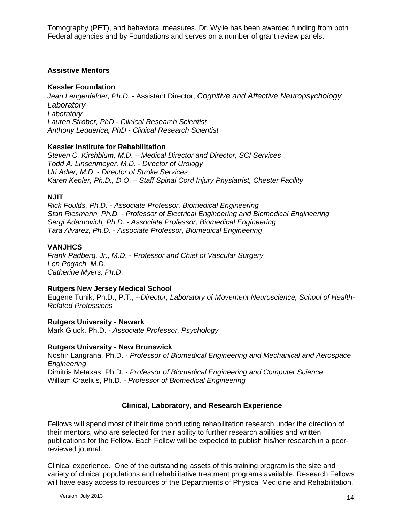Tomography (PET), and behavioral measures. Dr. Wylie has been awarded funding from both Federal agencies and by Foundations and serves on a number of grant review panels.

#### **Assistive Mentors**

#### **Kessler Foundation**

*Jean Lengenfelder, Ph.D. -* Assistant Director, *Cognitive and Affective Neuropsychology Laboratory Laboratory Lauren Strober, PhD - Clinical Research Scientist Anthony Lequerica, PhD - Clinical Research Scientist*

#### **Kessler Institute for Rehabilitation**

*Steven C. Kirshblum, M.D*. – *Medical Director and Director, SCI Services Todd A. Linsenmeyer, M.D*. - *Director of Urology Uri Adler, M.D*. - *Director of Stroke Services Karen Kepler, Ph.D., D.O*. – *Staff Spinal Cord Injury Physiatrist, Chester Facility*

#### **NJIT**

*Rick Foulds, Ph.D.* - *Associate Professor, Biomedical Engineering Stan Riesmann, Ph.D.* - *Professor of Electrical Engineering and Biomedical Engineering Sergi Adamovich, Ph.D.* - *Associate Professor, Biomedical Engineering Tara Alvarez, Ph.D.* - *Associate Professor, Biomedical Engineering*

## **VANJHCS**

*Frank Padberg, Jr., M.D*. - *Professor and Chief of Vascular Surgery Len Pogach, M.D. Catherine Myers, Ph.D*.

#### **Rutgers New Jersey Medical School**

Eugene Tunik, Ph.D., P.T., --*Director, Laboratory of Movement Neuroscience, School of Health-Related Professions*

**Rutgers University - Newark** Mark Gluck, Ph.D. - *Associate Professor, Psychology*

#### **Rutgers University - New Brunswick**

Noshir Langrana, Ph.D. - *Professor of Biomedical Engineering and Mechanical and Aerospace Engineering* Dimitris Metaxas, Ph.D. - *Professor of Biomedical Engineering and Computer Science* William Craelius, Ph.D. - *Professor of Biomedical Engineering*

## **Clinical, Laboratory, and Research Experience**

Fellows will spend most of their time conducting rehabilitation research under the direction of their mentors, who are selected for their ability to further research abilities and written publications for the Fellow. Each Fellow will be expected to publish his/her research in a peerreviewed journal.

Clinical experience. One of the outstanding assets of this training program is the size and variety of clinical populations and rehabilitative treatment programs available. Research Fellows will have easy access to resources of the Departments of Physical Medicine and Rehabilitation,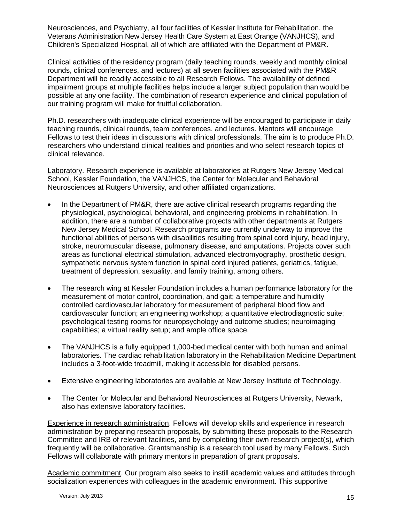Neurosciences, and Psychiatry, all four facilities of Kessler Institute for Rehabilitation, the Veterans Administration New Jersey Health Care System at East Orange (VANJHCS), and Children's Specialized Hospital, all of which are affiliated with the Department of PM&R.

Clinical activities of the residency program (daily teaching rounds, weekly and monthly clinical rounds, clinical conferences, and lectures) at all seven facilities associated with the PM&R Department will be readily accessible to all Research Fellows. The availability of defined impairment groups at multiple facilities helps include a larger subject population than would be possible at any one facility. The combination of research experience and clinical population of our training program will make for fruitful collaboration.

Ph.D. researchers with inadequate clinical experience will be encouraged to participate in daily teaching rounds, clinical rounds, team conferences, and lectures. Mentors will encourage Fellows to test their ideas in discussions with clinical professionals. The aim is to produce Ph.D. researchers who understand clinical realities and priorities and who select research topics of clinical relevance.

Laboratory. Research experience is available at laboratories at Rutgers New Jersey Medical School, Kessler Foundation, the VANJHCS, the Center for Molecular and Behavioral Neurosciences at Rutgers University, and other affiliated organizations.

- In the Department of PM&R, there are active clinical research programs regarding the physiological, psychological, behavioral, and engineering problems in rehabilitation. In addition, there are a number of collaborative projects with other departments at Rutgers New Jersey Medical School. Research programs are currently underway to improve the functional abilities of persons with disabilities resulting from spinal cord injury, head injury, stroke, neuromuscular disease, pulmonary disease, and amputations. Projects cover such areas as functional electrical stimulation, advanced electromyography, prosthetic design, sympathetic nervous system function in spinal cord injured patients, geriatrics, fatigue, treatment of depression, sexuality, and family training, among others.
- The research wing at Kessler Foundation includes a human performance laboratory for the measurement of motor control, coordination, and gait; a temperature and humidity controlled cardiovascular laboratory for measurement of peripheral blood flow and cardiovascular function; an engineering workshop; a quantitative electrodiagnostic suite; psychological testing rooms for neuropsychology and outcome studies; neuroimaging capabilities; a virtual reality setup; and ample office space.
- The VANJHCS is a fully equipped 1,000-bed medical center with both human and animal laboratories. The cardiac rehabilitation laboratory in the Rehabilitation Medicine Department includes a 3-foot-wide treadmill, making it accessible for disabled persons.
- Extensive engineering laboratories are available at New Jersey Institute of Technology.
- The Center for Molecular and Behavioral Neurosciences at Rutgers University, Newark, also has extensive laboratory facilities.

Experience in research administration. Fellows will develop skills and experience in research administration by preparing research proposals, by submitting these proposals to the Research Committee and IRB of relevant facilities, and by completing their own research project(s), which frequently will be collaborative. Grantsmanship is a research tool used by many Fellows. Such Fellows will collaborate with primary mentors in preparation of grant proposals.

Academic commitment. Our program also seeks to instill academic values and attitudes through socialization experiences with colleagues in the academic environment. This supportive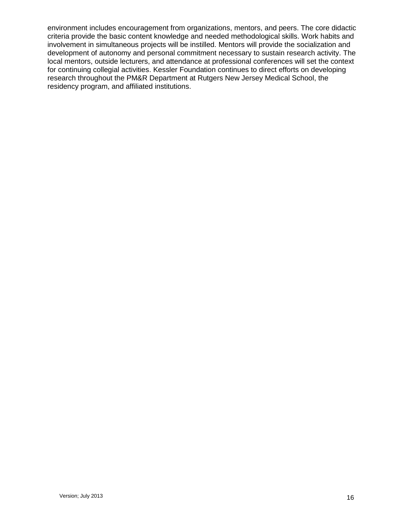environment includes encouragement from organizations, mentors, and peers. The core didactic criteria provide the basic content knowledge and needed methodological skills. Work habits and involvement in simultaneous projects will be instilled. Mentors will provide the socialization and development of autonomy and personal commitment necessary to sustain research activity. The local mentors, outside lecturers, and attendance at professional conferences will set the context for continuing collegial activities. Kessler Foundation continues to direct efforts on developing research throughout the PM&R Department at Rutgers New Jersey Medical School, the residency program, and affiliated institutions.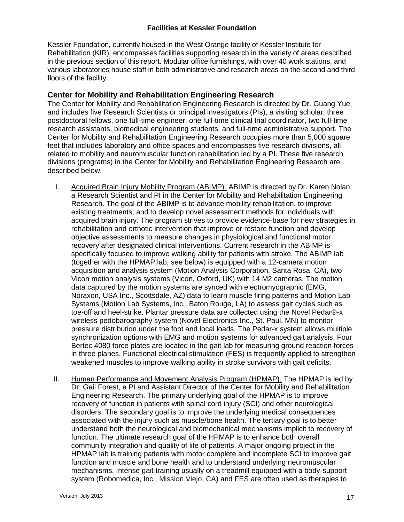## **Facilities at Kessler Foundation**

Kessler Foundation, currently housed in the West Orange facility of Kessler Institute for Rehabilitation (KIR), encompasses facilities supporting research in the variety of areas described in the previous section of this report. Modular office furnishings, with over 40 work stations, and various laboratories house staff in both administrative and research areas on the second and third floors of the facility.

# **Center for Mobility and Rehabilitation Engineering Research**

The Center for Mobility and Rehabilitation Engineering Research is directed by Dr. Guang Yue, and includes five Research Scientists or principal investigators (PIs), a visiting scholar, three postdoctoral fellows, one full-time engineer, one full-time clinical trial coordinator, two full-time research assistants, biomedical engineering students, and full-time administrative support. The Center for Mobility and Rehabilitation Engineering Research occupies more than 5,000 square feet that includes laboratory and office spaces and encompasses five research divisions, all related to mobility and neuromuscular function rehabilitation led by a PI. These five research divisions (programs) in the Center for Mobility and Rehabilitation Engineering Research are described below.

- I. Acquired Brain Injury Mobility Program (ABIMP). ABIMP is directed by Dr. Karen Nolan, a Research Scientist and PI in the Center for Mobility and Rehabilitation Engineering Research. The goal of the ABIMP is to advance mobility rehabilitation, to improve existing treatments, and to develop novel assessment methods for individuals with acquired brain injury. The program strives to provide evidence-base for new strategies in rehabilitation and orthotic intervention that improve or restore function and develop objective assessments to measure changes in physiological and functional motor recovery after designated clinical interventions. Current research in the ABIMP is specifically focused to improve walking ability for patients with stroke. The ABIMP lab (together with the HPMAP lab, see below) is equipped with a 12-camera motion acquisition and analysis system (Motion Analysis Corporation, Santa Rosa, CA), two Vicon motion analysis systems (Vicon, Oxford, UK) with 14 M2 cameras. The motion data captured by the motion systems are synced with electromyographic (EMG, Noraxon, USA Inc., Scottsdale, AZ) data to learn muscle firing patterns and Motion Lab Systems (Motion Lab Systems, Inc., Baton Rouge, LA) to assess gait cycles such as toe-off and heel-strike. Plantar pressure data are collected using the Novel Pedar®-x wireless pedobarography system (Novel Electronics Inc., St. Paul, MN) to monitor pressure distribution under the foot and local loads. The Pedar-x system allows multiple synchronization options with EMG and motion systems for advanced gait analysis. Four Bertec 4080 force plates are located in the gait lab for measuring ground reaction forces in three planes. Functional electrical stimulation (FES) is frequently applied to strengthen weakened muscles to improve walking ability in stroke survivors with gait deficits.
- II. Human Performance and Movement Analysis Program (HPMAP). The HPMAP is led by Dr. Gail Forest, a PI and Assistant Director of the Center for Mobility and Rehabilitation Engineering Research. The primary underlying goal of the HPMAP is to improve recovery of function in patients with spinal cord injury (SCI) and other neurological disorders. The secondary goal is to improve the underlying medical consequences associated with the injury such as muscle/bone health. The tertiary goal is to better understand both the neurological and biomechanical mechanisms implicit to recovery of function. The ultimate research goal of the HPMAP is to enhance both overall community integration and quality of life of patients. A major ongoing project in the HPMAP lab is training patients with motor complete and incomplete SCI to improve gait function and muscle and bone health and to understand underlying neuromuscular mechanisms. Intense gait training usually on a treadmill equipped with a body-support system (Robomedica, Inc., Mission Viejo, CA) and FES are often used as therapies to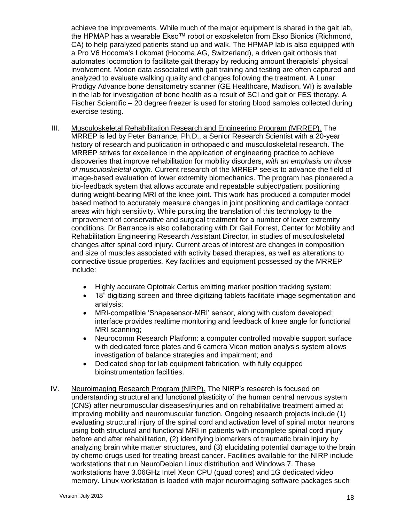achieve the improvements. While much of the major equipment is shared in the gait lab, the HPMAP has a wearable Ekso™ robot or exoskeleton from Ekso Bionics (Richmond, CA) to help paralyzed patients stand up and walk. The HPMAP lab is also equipped with a Pro V6 Hocoma's Lokomat (Hocoma AG, Switzerland), a driven gait orthosis that automates locomotion to facilitate gait therapy by reducing amount therapists' physical involvement. Motion data associated with gait training and testing are often captured and analyzed to evaluate walking quality and changes following the treatment. A Lunar Prodigy Advance bone densitometry scanner (GE Healthcare, Madison, WI) is available in the lab for investigation of bone health as a result of SCI and gait or FES therapy. A Fischer Scientific – 20 degree freezer is used for storing blood samples collected during exercise testing.

- III. Musculoskeletal Rehabilitation Research and Engineering Program (MRREP). The MRREP is led by Peter Barrance, Ph.D., a Senior Research Scientist with a 20-year history of research and publication in orthopaedic and musculoskeletal research. The MRREP strives for excellence in the application of engineering practice to achieve discoveries that improve rehabilitation for mobility disorders, *with an emphasis on those of musculoskeletal origin*. Current research of the MRREP seeks to advance the field of image-based evaluation of lower extremity biomechanics. The program has pioneered a bio-feedback system that allows accurate and repeatable subject/patient positioning during weight-bearing MRI of the knee joint. This work has produced a computer model based method to accurately measure changes in joint positioning and cartilage contact areas with high sensitivity. While pursuing the translation of this technology to the improvement of conservative and surgical treatment for a number of lower extremity conditions, Dr Barrance is also collaborating with Dr Gail Forrest, Center for Mobility and Rehabilitation Engineering Research Assistant Director, in studies of musculoskeletal changes after spinal cord injury. Current areas of interest are changes in composition and size of muscles associated with activity based therapies, as well as alterations to connective tissue properties. Key facilities and equipment possessed by the MRREP include:
	- Highly accurate Optotrak Certus emitting marker position tracking system;
	- 18" digitizing screen and three digitizing tablets facilitate image segmentation and analysis;
	- MRI-compatible 'Shapesensor-MRI' sensor, along with custom developed; interface provides realtime monitoring and feedback of knee angle for functional MRI scanning;
	- Neurocomm Research Platform: a computer controlled movable support surface with dedicated force plates and 6 camera Vicon motion analysis system allows investigation of balance strategies and impairment; and
	- Dedicated shop for lab equipment fabrication, with fully equipped bioinstrumentation facilities.
- IV. Neuroimaging Research Program (NIRP). The NIRP's research is focused on understanding structural and functional plasticity of the human central nervous system (CNS) after neuromuscular diseases/injuries and on rehabilitative treatment aimed at improving mobility and neuromuscular function. Ongoing research projects include (1) evaluating structural injury of the spinal cord and activation level of spinal motor neurons using both structural and functional MRI in patients with incomplete spinal cord injury before and after rehabilitation, (2) identifying biomarkers of traumatic brain injury by analyzing brain white matter structures, and (3) elucidating potential damage to the brain by chemo drugs used for treating breast cancer. Facilities available for the NIRP include workstations that run NeuroDebian Linux distribution and Windows 7. These workstations have 3.06GHz Intel Xeon CPU (quad cores) and 1G dedicated video memory. Linux workstation is loaded with major neuroimaging software packages such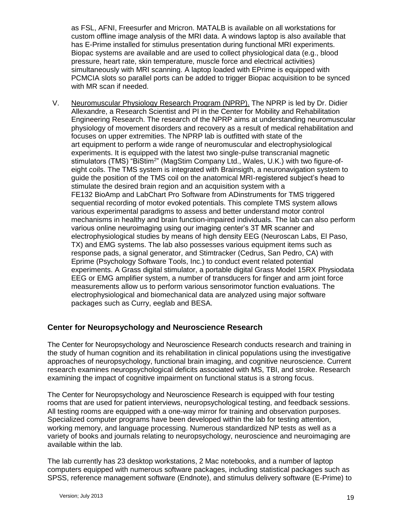as FSL, AFNI, Freesurfer and Mricron. MATALB is available on all workstations for custom offline image analysis of the MRI data. A windows laptop is also available that has E-Prime installed for stimulus presentation during functional MRI experiments. Biopac systems are available and are used to collect physiological data (e.g., blood pressure, heart rate, skin temperature, muscle force and electrical activities) simultaneously with MRI scanning. A laptop loaded with EPrime is equipped with PCMCIA slots so parallel ports can be added to trigger Biopac acquisition to be synced with MR scan if needed.

V. Neuromuscular Physiology Research Program (NPRP). The NPRP is led by Dr. Didier Allexandre, a Research Scientist and PI in the Center for Mobility and Rehabilitation Engineering Research. The research of the NPRP aims at understanding neuromuscular physiology of movement disorders and recovery as a result of medical rehabilitation and focuses on upper extremities. The NPRP lab is outfitted with state of the art equipment to perform a wide range of neuromuscular and electrophysiological experiments. It is equipped with the latest two single-pulse transcranial magnetic stimulators (TMS) "BiStim<sup>2</sup>" (MagStim Company Ltd., Wales, U.K.) with two figure-ofeight coils. The TMS system is integrated with Brainsigth, a neuronavigation system to guide the position of the TMS coil on the anatomical MRI-registered subject's head to stimulate the desired brain region and an acquisition system with a FE132 BioAmp and LabChart Pro Software from ADinstruments for TMS triggered sequential recording of motor evoked potentials. This complete TMS system allows various experimental paradigms to assess and better understand motor control mechanisms in healthy and brain function-impaired individuals. The lab can also perform various online neuroimaging using our imaging center's 3T MR scanner and electrophysiological studies by means of high density EEG (Neuroscan Labs, El Paso, TX) and EMG systems. The lab also possesses various equipment items such as response pads, a signal generator, and Stimtracker (Cedrus, San Pedro, CA) with Eprime (Psychology Software Tools, Inc.) to conduct event related potential experiments. A Grass digital stimulator, a portable digital Grass Model 15RX Physiodata EEG or EMG amplifier system, a number of transducers for finger and arm joint force measurements allow us to perform various sensorimotor function evaluations. The electrophysiological and biomechanical data are analyzed using major software packages such as Curry, eeglab and BESA.

# **Center for Neuropsychology and Neuroscience Research**

The Center for Neuropsychology and Neuroscience Research conducts research and training in the study of human cognition and its rehabilitation in clinical populations using the investigative approaches of neuropsychology, functional brain imaging, and cognitive neuroscience. Current research examines neuropsychological deficits associated with MS, TBI, and stroke. Research examining the impact of cognitive impairment on functional status is a strong focus.

The Center for Neuropsychology and Neuroscience Research is equipped with four testing rooms that are used for patient interviews, neuropsychological testing, and feedback sessions. All testing rooms are equipped with a one-way mirror for training and observation purposes. Specialized computer programs have been developed within the lab for testing attention, working memory, and language processing. Numerous standardized NP tests as well as a variety of books and journals relating to neuropsychology, neuroscience and neuroimaging are available within the lab.

The lab currently has 23 desktop workstations, 2 Mac notebooks, and a number of laptop computers equipped with numerous software packages, including statistical packages such as SPSS, reference management software (Endnote), and stimulus delivery software (E-Prime) to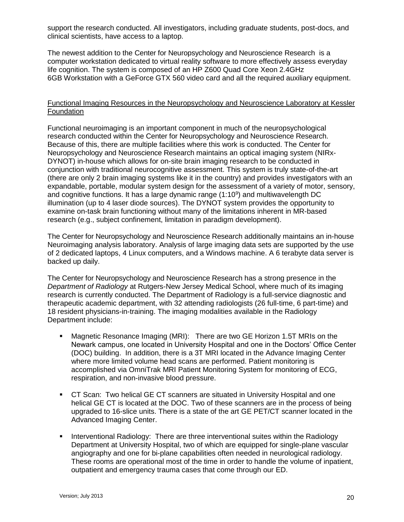support the research conducted. All investigators, including graduate students, post-docs, and clinical scientists, have access to a laptop.

The newest addition to the Center for Neuropsychology and Neuroscience Research is a computer workstation dedicated to virtual reality software to more effectively assess everyday life cognition. The system is composed of an HP Z600 Quad Core Xeon 2.4GHz 6GB Workstation with a GeForce GTX 560 video card and all the required auxiliary equipment.

#### Functional Imaging Resources in the Neuropsychology and Neuroscience Laboratory at Kessler Foundation

Functional neuroimaging is an important component in much of the neuropsychological research conducted within the Center for Neuropsychology and Neuroscience Research. Because of this, there are multiple facilities where this work is conducted. The Center for Neuropsychology and Neuroscience Research maintains an optical imaging system (NIRx-DYNOT) in-house which allows for on-site brain imaging research to be conducted in conjunction with traditional neurocognitive assessment. This system is truly state-of-the-art (there are only 2 brain imaging systems like it in the country) and provides investigators with an expandable, portable, modular system design for the assessment of a variety of motor, sensory, and cognitive functions. It has a large dynamic range  $(1:10^9)$  and multiwavelength DC illumination (up to 4 laser diode sources). The DYNOT system provides the opportunity to examine on-task brain functioning without many of the limitations inherent in MR-based research (e.g., subject confinement, limitation in paradigm development).

The Center for Neuropsychology and Neuroscience Research additionally maintains an in-house Neuroimaging analysis laboratory. Analysis of large imaging data sets are supported by the use of 2 dedicated laptops, 4 Linux computers, and a Windows machine. A 6 terabyte data server is backed up daily.

The Center for Neuropsychology and Neuroscience Research has a strong presence in the *Department of Radiology* at Rutgers-New Jersey Medical School, where much of its imaging research is currently conducted. The Department of Radiology is a full-service diagnostic and therapeutic academic department, with 32 attending radiologists (26 full-time, 6 part-time) and 18 resident physicians-in-training. The imaging modalities available in the Radiology Department include:

- Magnetic Resonance Imaging (MRI): There are two GE Horizon 1.5T MRIs on the Newark campus, one located in University Hospital and one in the Doctors' Office Center (DOC) building. In addition, there is a 3T MRI located in the Advance Imaging Center where more limited volume head scans are performed. Patient monitoring is accomplished via OmniTrak MRI Patient Monitoring System for monitoring of ECG, respiration, and non-invasive blood pressure.
- CT Scan: Two helical GE CT scanners are situated in University Hospital and one helical GE CT is located at the DOC. Two of these scanners are in the process of being upgraded to 16-slice units. There is a state of the art GE PET/CT scanner located in the Advanced Imaging Center.
- **Interventional Radiology: There are three interventional suites within the Radiology** Department at University Hospital, two of which are equipped for single-plane vascular angiography and one for bi-plane capabilities often needed in neurological radiology. These rooms are operational most of the time in order to handle the volume of inpatient, outpatient and emergency trauma cases that come through our ED.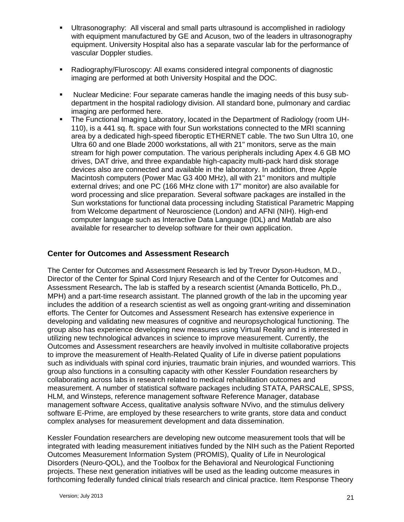- Ultrasonography: All visceral and small parts ultrasound is accomplished in radiology with equipment manufactured by GE and Acuson, two of the leaders in ultrasonography equipment. University Hospital also has a separate vascular lab for the performance of vascular Doppler studies.
- Radiography/Fluroscopy: All exams considered integral components of diagnostic imaging are performed at both University Hospital and the DOC.
- Nuclear Medicine: Four separate cameras handle the imaging needs of this busy subdepartment in the hospital radiology division. All standard bone, pulmonary and cardiac imaging are performed here.
- The Functional Imaging Laboratory, located in the Department of Radiology (room UH-110), is a 441 sq. ft. space with four Sun workstations connected to the MRI scanning area by a dedicated high-speed fiberoptic ETHERNET cable. The two Sun Ultra 10, one Ultra 60 and one Blade 2000 workstations, all with 21" monitors, serve as the main stream for high power computation. The various peripherals including Apex 4.6 GB MO drives, DAT drive, and three expandable high-capacity multi-pack hard disk storage devices also are connected and available in the laboratory. In addition, three Apple Macintosh computers (Power Mac G3 400 MHz), all with 21" monitors and multiple external drives; and one PC (166 MHz clone with 17" monitor) are also available for word processing and slice preparation. Several software packages are installed in the Sun workstations for functional data processing including Statistical Parametric Mapping from Welcome department of Neuroscience (London) and AFNI (NIH). High-end computer language such as Interactive Data Language (IDL) and Matlab are also available for researcher to develop software for their own application.

## **Center for Outcomes and Assessment Research**

The Center for Outcomes and Assessment Research is led by Trevor Dyson-Hudson, M.D., Director of the Center for Spinal Cord Injury Research and of the Center for Outcomes and Assessment Research**.** The lab is staffed by a research scientist (Amanda Botticello, Ph.D., MPH) and a part-time research assistant. The planned growth of the lab in the upcoming year includes the addition of a research scientist as well as ongoing grant-writing and dissemination efforts. The Center for Outcomes and Assessment Research has extensive experience in developing and validating new measures of cognitive and neuropsychological functioning. The group also has experience developing new measures using Virtual Reality and is interested in utilizing new technological advances in science to improve measurement. Currently, the Outcomes and Assessment researchers are heavily involved in multisite collaborative projects to improve the measurement of Health-Related Quality of Life in diverse patient populations such as individuals with spinal cord injuries, traumatic brain injuries, and wounded warriors. This group also functions in a consulting capacity with other Kessler Foundation researchers by collaborating across labs in research related to medical rehabilitation outcomes and measurement. A number of statistical software packages including STATA, PARSCALE, SPSS, HLM, and Winsteps, reference management software Reference Manager, database management software Access, qualitative analysis software NVivo, and the stimulus delivery software E-Prime, are employed by these researchers to write grants, store data and conduct complex analyses for measurement development and data dissemination.

Kessler Foundation researchers are developing new outcome measurement tools that will be integrated with leading measurement initiatives funded by the NIH such as the Patient Reported Outcomes Measurement Information System (PROMIS), Quality of Life in Neurological Disorders (Neuro-QOL), and the Toolbox for the Behavioral and Neurological Functioning projects. These next generation initiatives will be used as the leading outcome measures in forthcoming federally funded clinical trials research and clinical practice. Item Response Theory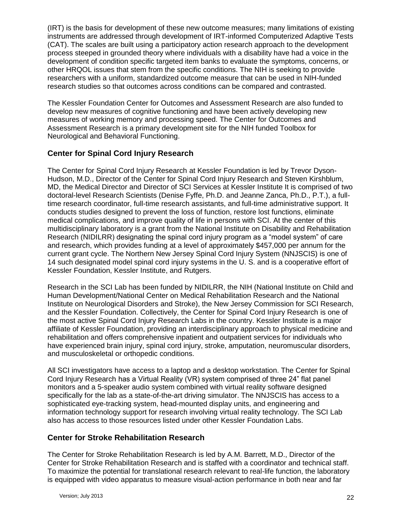(IRT) is the basis for development of these new outcome measures; many limitations of existing instruments are addressed through development of IRT-informed Computerized Adaptive Tests (CAT). The scales are built using a participatory action research approach to the development process steeped in grounded theory where individuals with a disability have had a voice in the development of condition specific targeted item banks to evaluate the symptoms, concerns, or other HRQOL issues that stem from the specific conditions. The NIH is seeking to provide researchers with a uniform, standardized outcome measure that can be used in NIH-funded research studies so that outcomes across conditions can be compared and contrasted.

The Kessler Foundation Center for Outcomes and Assessment Research are also funded to develop new measures of cognitive functioning and have been actively developing new measures of working memory and processing speed. The Center for Outcomes and Assessment Research is a primary development site for the NIH funded Toolbox for Neurological and Behavioral Functioning.

# **Center for Spinal Cord Injury Research**

The Center for Spinal Cord Injury Research at Kessler Foundation is led by Trevor Dyson-Hudson, M.D., Director of the Center for Spinal Cord Injury Research and Steven Kirshblum, MD, the Medical Director and Director of SCI Services at Kessler Institute It is comprised of two doctoral-level Research Scientists (Denise Fyffe, Ph.D. and Jeanne Zanca, Ph.D., P.T.), a fulltime research coordinator, full-time research assistants, and full-time administrative support. It conducts studies designed to prevent the loss of function, restore lost functions, eliminate medical complications, and improve quality of life in persons with SCI. At the center of this multidisciplinary laboratory is a grant from the National Institute on Disability and Rehabilitation Research (NIDILRR) designating the spinal cord injury program as a "model system" of care and research, which provides funding at a level of approximately \$457,000 per annum for the current grant cycle. The Northern New Jersey Spinal Cord Injury System (NNJSCIS) is one of 14 such designated model spinal cord injury systems in the U. S. and is a cooperative effort of Kessler Foundation, Kessler Institute, and Rutgers.

Research in the SCI Lab has been funded by NIDILRR, the NIH (National Institute on Child and Human Development/National Center on Medical Rehabilitation Research and the National Institute on Neurological Disorders and Stroke), the New Jersey Commission for SCI Research, and the Kessler Foundation. Collectively, the Center for Spinal Cord Injury Research is one of the most active Spinal Cord Injury Research Labs in the country. Kessler Institute is a major affiliate of Kessler Foundation, providing an interdisciplinary approach to physical medicine and rehabilitation and offers comprehensive inpatient and outpatient services for individuals who have experienced brain injury, spinal cord injury, stroke, amputation, neuromuscular disorders, and musculoskeletal or orthopedic conditions.

All SCI investigators have access to a laptop and a desktop workstation. The Center for Spinal Cord Injury Research has a Virtual Reality (VR) system comprised of three 24" flat panel monitors and a 5-speaker audio system combined with virtual reality software designed specifically for the lab as a state-of-the-art driving simulator. The NNJSCIS has access to a sophisticated eye-tracking system, head-mounted display units, and engineering and information technology support for research involving virtual reality technology. The SCI Lab also has access to those resources listed under other Kessler Foundation Labs.

# **Center for Stroke Rehabilitation Research**

The Center for Stroke Rehabilitation Research is led by A.M. Barrett, M.D., Director of the Center for Stroke Rehabilitation Research and is staffed with a coordinator and technical staff. To maximize the potential for translational research relevant to real-life function, the laboratory is equipped with video apparatus to measure visual-action performance in both near and far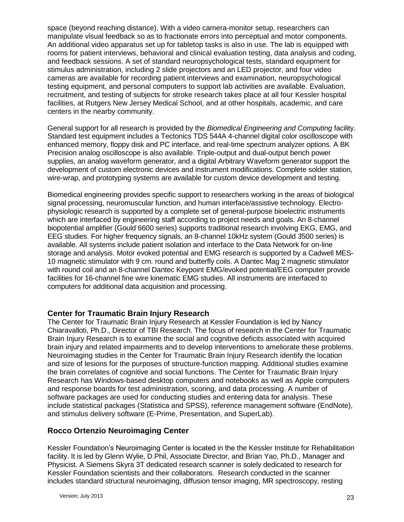space (beyond reaching distance). With a video camera-monitor setup, researchers can manipulate visual feedback so as to fractionate errors into perceptual and motor components. An additional video apparatus set up for tabletop tasks is also in use. The lab is equipped with rooms for patient interviews, behavioral and clinical evaluation testing, data analysis and coding, and feedback sessions. A set of standard neuropsychological tests, standard equipment for stimulus administration, including 2 slide projectors and an LED projector, and four video cameras are available for recording patient interviews and examination, neuropsychological testing equipment, and personal computers to support lab activities are available. Evaluation, recruitment, and testing of subjects for stroke research takes place at all four Kessler hospital facilities, at Rutgers New Jersey Medical School, and at other hospitals, academic, and care centers in the nearby community.

General support for all research is provided by the *Biomedical Engineering and Computing* facility. Standard test equipment includes a Tectonics TDS 544A 4-channel digital color oscilloscope with enhanced memory, floppy disk and PC interface, and real-time spectrum analyzer options. A BK Precision analog oscilloscope is also available. Triple-output and dual-output bench power supplies, an analog waveform generator, and a digital Arbitrary Waveform generator support the development of custom electronic devices and instrument modifications. Complete solder station, wire-wrap, and prototyping systems are available for custom device development and testing.

Biomedical engineering provides specific support to researchers working in the areas of biological signal processing, neuromuscular function, and human interface/assistive technology. Electrophysiologic research is supported by a complete set of general-purpose bioelectric instruments which are interfaced by engineering staff according to project needs and goals. An 8-channel biopotential amplifier (Gould 6600 series) supports traditional research involving EKG, EMG, and EEG studies. For higher frequency signals, an 8-channel 10kHz system (Gould 3500 series) is available. All systems include patient isolation and interface to the Data Network for on-line storage and analysis. Motor evoked potential and EMG research is supported by a Cadwell MES-10 magnetic stimulator with 9 cm. round and butterfly coils. A Dantec Mag 2 magnetic stimulator with round coil and an 8-channel Dantec Keypoint EMG/evoked potential/EEG computer provide facilities for 16-channel fine wire kinematic EMG studies. All instruments are interfaced to computers for additional data acquisition and processing.

## **Center for Traumatic Brain Injury Research**

The Center for Traumatic Brain Injury Research at Kessler Foundation is led by Nancy Chiaravalloti, Ph.D., Director of TBI Research. The focus of research in the Center for Traumatic Brain Injury Research is to examine the social and cognitive deficits associated with acquired brain injury and related impairments and to develop interventions to ameliorate these problems. Neuroimaging studies in the Center for Traumatic Brain Injury Research identify the location and size of lesions for the purposes of structure-function mapping. Additional studies examine the brain correlates of cognitive and social functions. The Center for Traumatic Brain Injury Research has Windows-based desktop computers and notebooks as well as Apple computers and response boards for test administration, scoring, and data processing. A number of software packages are used for conducting studies and entering data for analysis. These include statistical packages (Statistica and SPSS), reference management software (EndNote), and stimulus delivery software (E-Prime, Presentation, and SuperLab).

# **Rocco Ortenzio Neuroimaging Center**

Kessler Foundation's Neuroimaging Center is located in the the Kessler Institute for Rehabilitation facility. It is led by Glenn Wylie, D.Phil, Associate Director, and Brian Yao, Ph.D., Manager and Physicist. A Siemens Skyra 3T dedicated research scanner is solely dedicated to research for Kessler Foundation scientists and their collaborators. Research conducted in the scanner includes standard structural neuroimaging, diffusion tensor imaging, MR spectroscopy, resting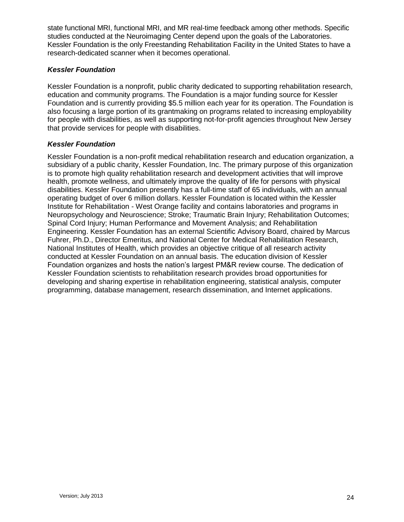state functional MRI, functional MRI, and MR real-time feedback among other methods. Specific studies conducted at the Neuroimaging Center depend upon the goals of the Laboratories. Kessler Foundation is the only Freestanding Rehabilitation Facility in the United States to have a research-dedicated scanner when it becomes operational.

## *Kessler Foundation*

Kessler Foundation is a nonprofit, public charity dedicated to supporting rehabilitation research, education and community programs. The Foundation is a major funding source for Kessler Foundation and is currently providing \$5.5 million each year for its operation. The Foundation is also focusing a large portion of its grantmaking on programs related to increasing employability for people with disabilities, as well as supporting not-for-profit agencies throughout New Jersey that provide services for people with disabilities.

## *Kessler Foundation*

Kessler Foundation is a non-profit medical rehabilitation research and education organization, a subsidiary of a public charity, Kessler Foundation, Inc. The primary purpose of this organization is to promote high quality rehabilitation research and development activities that will improve health, promote wellness, and ultimately improve the quality of life for persons with physical disabilities. Kessler Foundation presently has a full-time staff of 65 individuals, with an annual operating budget of over 6 million dollars. Kessler Foundation is located within the Kessler Institute for Rehabilitation - West Orange facility and contains laboratories and programs in Neuropsychology and Neuroscience; Stroke; Traumatic Brain Injury; Rehabilitation Outcomes; Spinal Cord Injury; Human Performance and Movement Analysis; and Rehabilitation Engineering. Kessler Foundation has an external Scientific Advisory Board, chaired by Marcus Fuhrer, Ph.D., Director Emeritus, and National Center for Medical Rehabilitation Research, National Institutes of Health, which provides an objective critique of all research activity conducted at Kessler Foundation on an annual basis. The education division of Kessler Foundation organizes and hosts the nation's largest PM&R review course. The dedication of Kessler Foundation scientists to rehabilitation research provides broad opportunities for developing and sharing expertise in rehabilitation engineering, statistical analysis, computer programming, database management, research dissemination, and Internet applications.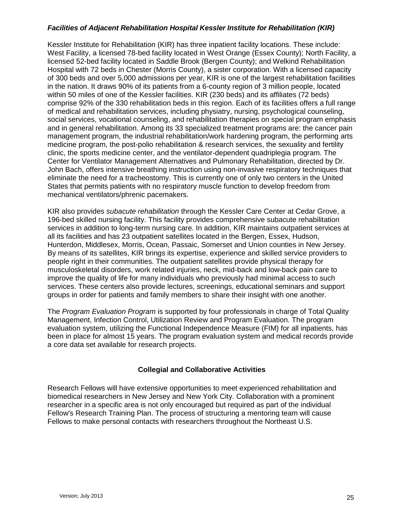#### *Facilities of Adjacent Rehabilitation Hospital Kessler Institute for Rehabilitation (KIR)*

Kessler Institute for Rehabilitation (KIR) has three inpatient facility locations. These include: West Facility, a licensed 78-bed facility located in West Orange (Essex County); North Facility, a licensed 52-bed facility located in Saddle Brook (Bergen County); and Welkind Rehabilitation Hospital with 72 beds in Chester (Morris County), a sister corporation. With a licensed capacity of 300 beds and over 5,000 admissions per year, KIR is one of the largest rehabilitation facilities in the nation. It draws 90% of its patients from a 6-county region of 3 million people, located within 50 miles of one of the Kessler facilities. KIR (230 beds) and its affiliates (72 beds) comprise 92% of the 330 rehabilitation beds in this region. Each of its facilities offers a full range of medical and rehabilitation services, including physiatry, nursing, psychological counseling, social services, vocational counseling, and rehabilitation therapies on special program emphasis and in general rehabilitation. Among its 33 specialized treatment programs are: the cancer pain management program, the industrial rehabilitation/work hardening program, the performing arts medicine program, the post-polio rehabilitation & research services, the sexuality and fertility clinic, the sports medicine center, and the ventilator-dependent quadriplegia program. The Center for Ventilator Management Alternatives and Pulmonary Rehabilitation, directed by Dr. John Bach, offers intensive breathing instruction using non-invasive respiratory techniques that eliminate the need for a tracheostomy. This is currently one of only two centers in the United States that permits patients with no respiratory muscle function to develop freedom from mechanical ventilators/phrenic pacemakers.

KIR also provides *subacute rehabilitation* through the Kessler Care Center at Cedar Grove, a 196-bed skilled nursing facility. This facility provides comprehensive subacute rehabilitation services in addition to long-term nursing care. In addition, KIR maintains outpatient services at all its facilities and has 23 outpatient satellites located in the Bergen, Essex, Hudson, Hunterdon, Middlesex, Morris, Ocean, Passaic, Somerset and Union counties in New Jersey. By means of its satellites, KIR brings its expertise, experience and skilled service providers to people right in their communities. The outpatient satellites provide physical therapy for musculoskeletal disorders, work related injuries, neck, mid-back and low-back pain care to improve the quality of life for many individuals who previously had minimal access to such services. These centers also provide lectures, screenings, educational seminars and support groups in order for patients and family members to share their insight with one another.

The *Program Evaluation Program* is supported by four professionals in charge of Total Quality Management, Infection Control, Utilization Review and Program Evaluation. The program evaluation system, utilizing the Functional Independence Measure (FIM) for all inpatients, has been in place for almost 15 years. The program evaluation system and medical records provide a core data set available for research projects.

## **Collegial and Collaborative Activities**

Research Fellows will have extensive opportunities to meet experienced rehabilitation and biomedical researchers in New Jersey and New York City. Collaboration with a prominent researcher in a specific area is not only encouraged but required as part of the individual Fellow's Research Training Plan. The process of structuring a mentoring team will cause Fellows to make personal contacts with researchers throughout the Northeast U.S.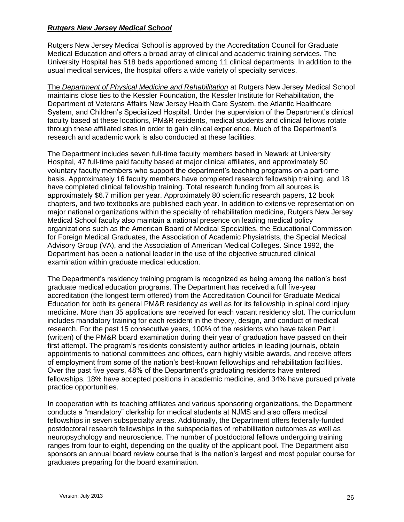#### *Rutgers New Jersey Medical School*

Rutgers New Jersey Medical School is approved by the Accreditation Council for Graduate Medical Education and offers a broad array of clinical and academic training services. The University Hospital has 518 beds apportioned among 11 clinical departments. In addition to the usual medical services, the hospital offers a wide variety of specialty services.

The *Department of Physical Medicine and Rehabilitation* at Rutgers New Jersey Medical School maintains close ties to the Kessler Foundation, the Kessler Institute for Rehabilitation, the Department of Veterans Affairs New Jersey Health Care System, the Atlantic Healthcare System, and Children's Specialized Hospital. Under the supervision of the Department's clinical faculty based at these locations, PM&R residents, medical students and clinical fellows rotate through these affiliated sites in order to gain clinical experience. Much of the Department's research and academic work is also conducted at these facilities.

The Department includes seven full-time faculty members based in Newark at University Hospital, 47 full-time paid faculty based at major clinical affiliates, and approximately 50 voluntary faculty members who support the department's teaching programs on a part-time basis. Approximately 16 faculty members have completed research fellowship training, and 18 have completed clinical fellowship training. Total research funding from all sources is approximately \$6.7 million per year. Approximately 80 scientific research papers, 12 book chapters, and two textbooks are published each year. In addition to extensive representation on major national organizations within the specialty of rehabilitation medicine, Rutgers New Jersey Medical School faculty also maintain a national presence on leading medical policy organizations such as the American Board of Medical Specialties, the Educational Commission for Foreign Medical Graduates, the Association of Academic Physiatrists, the Special Medical Advisory Group (VA), and the Association of American Medical Colleges. Since 1992, the Department has been a national leader in the use of the objective structured clinical examination within graduate medical education.

The Department's residency training program is recognized as being among the nation's best graduate medical education programs. The Department has received a full five-year accreditation (the longest term offered) from the Accreditation Council for Graduate Medical Education for both its general PM&R residency as well as for its fellowship in spinal cord injury medicine. More than 35 applications are received for each vacant residency slot. The curriculum includes mandatory training for each resident in the theory, design, and conduct of medical research. For the past 15 consecutive years, 100% of the residents who have taken Part I (written) of the PM&R board examination during their year of graduation have passed on their first attempt. The program's residents consistently author articles in leading journals, obtain appointments to national committees and offices, earn highly visible awards, and receive offers of employment from some of the nation's best-known fellowships and rehabilitation facilities. Over the past five years, 48% of the Department's graduating residents have entered fellowships, 18% have accepted positions in academic medicine, and 34% have pursued private practice opportunities.

In cooperation with its teaching affiliates and various sponsoring organizations, the Department conducts a "mandatory" clerkship for medical students at NJMS and also offers medical fellowships in seven subspecialty areas. Additionally, the Department offers federally-funded postdoctoral research fellowships in the subspecialties of rehabilitation outcomes as well as neuropsychology and neuroscience. The number of postdoctoral fellows undergoing training ranges from four to eight, depending on the quality of the applicant pool. The Department also sponsors an annual board review course that is the nation's largest and most popular course for graduates preparing for the board examination.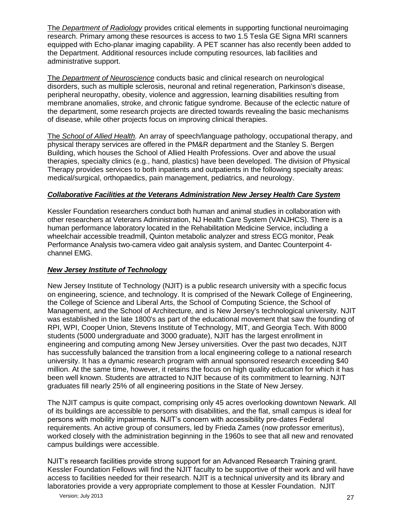The *Department of Radiology* provides critical elements in supporting functional neuroimaging research. Primary among these resources is access to two 1.5 Tesla GE Signa MRI scanners equipped with Echo-planar imaging capability. A PET scanner has also recently been added to the Department. Additional resources include computing resources, lab facilities and administrative support.

The *Department of Neuroscience* conducts basic and clinical research on neurological disorders, such as multiple sclerosis, neuronal and retinal regeneration, Parkinson's disease, peripheral neuropathy, obesity, violence and aggression, learning disabilities resulting from membrane anomalies, stroke, and chronic fatigue syndrome. Because of the eclectic nature of the department, some research projects are directed towards revealing the basic mechanisms of disease, while other projects focus on improving clinical therapies.

The *School of Allied Health.* An array of speech/language pathology, occupational therapy, and physical therapy services are offered in the PM&R department and the Stanley S. Bergen Building, which houses the School of Allied Health Professions. Over and above the usual therapies, specialty clinics (e.g., hand, plastics) have been developed. The division of Physical Therapy provides services to both inpatients and outpatients in the following specialty areas: medical/surgical, orthopaedics, pain management, pediatrics, and neurology.

#### *Collaborative Facilities at the Veterans Administration New Jersey Health Care System*

Kessler Foundation researchers conduct both human and animal studies in collaboration with other researchers at Veterans Administration, NJ Health Care System (VANJHCS). There is a human performance laboratory located in the Rehabilitation Medicine Service, including a wheelchair accessible treadmill, Quinton metabolic analyzer and stress ECG monitor, Peak Performance Analysis two-camera video gait analysis system, and Dantec Counterpoint 4 channel EMG.

## *New Jersey Institute of Technology*

New Jersey Institute of Technology (NJIT) is a public research university with a specific focus on engineering, science, and technology. It is comprised of the Newark College of Engineering, the College of Science and Liberal Arts, the School of Computing Science, the School of Management, and the School of Architecture, and is New Jersey's technological university. NJIT was established in the late 1800's as part of the educational movement that saw the founding of RPI, WPI, Cooper Union, Stevens Institute of Technology, MIT, and Georgia Tech. With 8000 students (5000 undergraduate and 3000 graduate), NJIT has the largest enrollment in engineering and computing among New Jersey universities. Over the past two decades, NJIT has successfully balanced the transition from a local engineering college to a national research university. It has a dynamic research program with annual sponsored research exceeding \$40 million. At the same time, however, it retains the focus on high quality education for which it has been well known. Students are attracted to NJIT because of its commitment to learning. NJIT graduates fill nearly 25% of all engineering positions in the State of New Jersey.

The NJIT campus is quite compact, comprising only 45 acres overlooking downtown Newark. All of its buildings are accessible to persons with disabilities, and the flat, small campus is ideal for persons with mobility impairments. NJIT's concern with accessibility pre-dates Federal requirements. An active group of consumers, led by Frieda Zames (now professor emeritus), worked closely with the administration beginning in the 1960s to see that all new and renovated campus buildings were accessible.

NJIT's research facilities provide strong support for an Advanced Research Training grant. Kessler Foundation Fellows will find the NJIT faculty to be supportive of their work and will have access to facilities needed for their research. NJIT is a technical university and its library and laboratories provide a very appropriate complement to those at Kessler Foundation. NJIT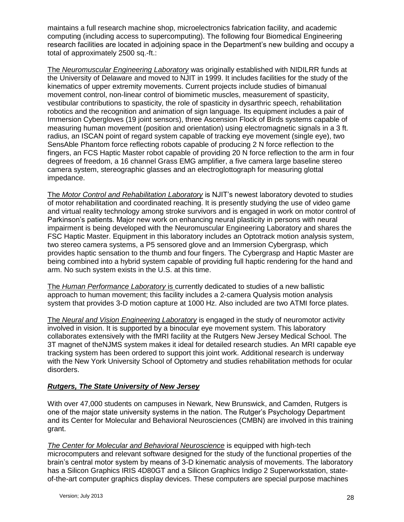maintains a full research machine shop, microelectronics fabrication facility, and academic computing (including access to supercomputing). The following four Biomedical Engineering research facilities are located in adjoining space in the Department's new building and occupy a total of approximately 2500 sq.-ft.:

The *Neuromuscular Engineering Laboratory* was originally established with NIDILRR funds at the University of Delaware and moved to NJIT in 1999. It includes facilities for the study of the kinematics of upper extremity movements. Current projects include studies of bimanual movement control, non-linear control of biomimetic muscles, measurement of spasticity, vestibular contributions to spasticity, the role of spasticity in dysarthric speech, rehabilitation robotics and the recognition and animation of sign language. Its equipment includes a pair of Immersion Cybergloves (19 joint sensors), three Ascension Flock of Birds systems capable of measuring human movement (position and orientation) using electromagnetic signals in a 3 ft. radius, an ISCAN point of regard system capable of tracking eye movement (single eye), two SensAble Phantom force reflecting robots capable of producing 2 N force reflection to the fingers, an FCS Haptic Master robot capable of providing 20 N force reflection to the arm in four degrees of freedom, a 16 channel Grass EMG amplifier, a five camera large baseline stereo camera system, stereographic glasses and an electroglottograph for measuring glottal impedance.

The *Motor Control and Rehabilitation Laboratory* is NJIT's newest laboratory devoted to studies of motor rehabilitation and coordinated reaching. It is presently studying the use of video game and virtual reality technology among stroke survivors and is engaged in work on motor control of Parkinson's patients. Major new work on enhancing neural plasticity in persons with neural impairment is being developed with the Neuromuscular Engineering Laboratory and shares the FSC Haptic Master. Equipment in this laboratory includes an Optotrack motion analysis system, two stereo camera systems, a P5 sensored glove and an Immersion Cybergrasp, which provides haptic sensation to the thumb and four fingers. The Cybergrasp and Haptic Master are being combined into a hybrid system capable of providing full haptic rendering for the hand and arm. No such system exists in the U.S. at this time.

The *Human Performance Laboratory* is currently dedicated to studies of a new ballistic approach to human movement; this facility includes a 2-camera Qualysis motion analysis system that provides 3-D motion capture at 1000 Hz. Also included are two ATMI force plates.

The *Neural and Vision Engineering Laboratory* is engaged in the study of neuromotor activity involved in vision. It is supported by a binocular eye movement system. This laboratory collaborates extensively with the fMRI facility at the Rutgers New Jersey Medical School. The 3T magnet of theNJMS system makes it ideal for detailed research studies. An MRI capable eye tracking system has been ordered to support this joint work. Additional research is underway with the New York University School of Optometry and studies rehabilitation methods for ocular disorders.

## *Rutgers, The State University of New Jersey*

With over 47,000 students on campuses in Newark, New Brunswick, and Camden, Rutgers is one of the major state university systems in the nation. The Rutger's Psychology Department and its Center for Molecular and Behavioral Neurosciences (CMBN) are involved in this training grant.

*The Center for Molecular and Behavioral Neuroscience* is equipped with high-tech microcomputers and relevant software designed for the study of the functional properties of the brain's central motor system by means of 3-D kinematic analysis of movements. The laboratory has a Silicon Graphics IRIS 4D80GT and a Silicon Graphics Indigo 2 Superworkstation, stateof-the-art computer graphics display devices. These computers are special purpose machines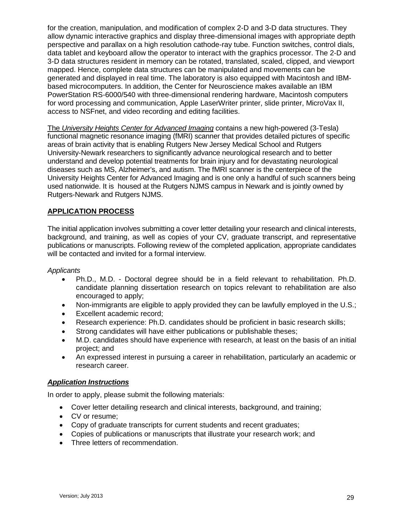for the creation, manipulation, and modification of complex 2-D and 3-D data structures. They allow dynamic interactive graphics and display three-dimensional images with appropriate depth perspective and parallax on a high resolution cathode-ray tube. Function switches, control dials, data tablet and keyboard allow the operator to interact with the graphics processor. The 2-D and 3-D data structures resident in memory can be rotated, translated, scaled, clipped, and viewport mapped. Hence, complete data structures can be manipulated and movements can be generated and displayed in real time. The laboratory is also equipped with Macintosh and IBMbased microcomputers. In addition, the Center for Neuroscience makes available an IBM PowerStation RS-6000/540 with three-dimensional rendering hardware, Macintosh computers for word processing and communication, Apple LaserWriter printer, slide printer, MicroVax II, access to NSFnet, and video recording and editing facilities.

The *University Heights Center for Advanced Imaging* contains a new high-powered (3-Tesla) functional magnetic resonance imaging (fMRI) scanner that provides detailed pictures of specific areas of brain activity that is enabling Rutgers New Jersey Medical School and Rutgers University-Newark researchers to significantly advance neurological research and to better understand and develop potential treatments for brain injury and for devastating neurological diseases such as MS, Alzheimer's, and autism. The fMRI scanner is the centerpiece of the University Heights Center for Advanced Imaging and is one only a handful of such scanners being used nationwide. It is housed at the Rutgers NJMS campus in Newark and is jointly owned by Rutgers-Newark and Rutgers NJMS.

# **APPLICATION PROCESS**

The initial application involves submitting a cover letter detailing your research and clinical interests, background, and training, as well as copies of your CV, graduate transcript, and representative publications or manuscripts. Following review of the completed application, appropriate candidates will be contacted and invited for a formal interview.

#### *Applicants*

- Ph.D., M.D. Doctoral degree should be in a field relevant to rehabilitation. Ph.D. candidate planning dissertation research on topics relevant to rehabilitation are also encouraged to apply;
- Non-immigrants are eligible to apply provided they can be lawfully employed in the U.S.;
- Excellent academic record;
- Research experience: Ph.D. candidates should be proficient in basic research skills;
- Strong candidates will have either publications or publishable theses;
- M.D. candidates should have experience with research, at least on the basis of an initial project; and
- An expressed interest in pursuing a career in rehabilitation, particularly an academic or research career.

## *Application Instructions*

In order to apply, please submit the following materials:

- Cover letter detailing research and clinical interests, background, and training;
- CV or resume;
- Copy of graduate transcripts for current students and recent graduates;
- Copies of publications or manuscripts that illustrate your research work; and
- Three letters of recommendation.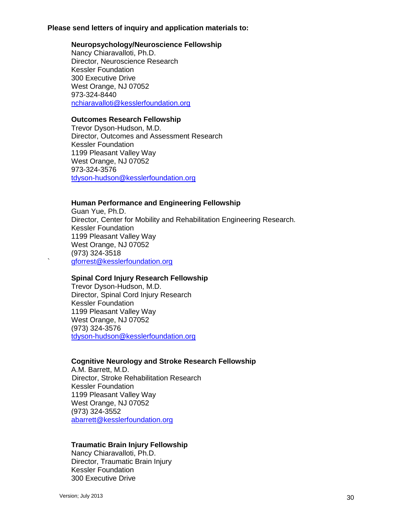#### **Please send letters of inquiry and application materials to:**

#### **Neuropsychology/Neuroscience Fellowship**

Nancy Chiaravalloti, Ph.D. Director, Neuroscience Research Kessler Foundation 300 Executive Drive West Orange, NJ 07052 973-324-8440 nchiaravalloti@kesslerfoundation.org

#### **Outcomes Research Fellowship**

Trevor Dyson-Hudson, M.D. Director, Outcomes and Assessment Research Kessler Foundation 1199 Pleasant Valley Way West Orange, NJ 07052 973-324-3576 tdyson-hudson@kesslerfoundation.org

# **Human Performance and Engineering Fellowship**

Guan Yue, Ph.D. Director, Center for Mobility and Rehabilitation Engineering Research. Kessler Foundation 1199 Pleasant Valley Way West Orange, NJ 07052 (973) 324-3518 ` gforrest@kesslerfoundation.org

## **Spinal Cord Injury Research Fellowship**

Trevor Dyson-Hudson, M.D. Director, Spinal Cord Injury Research Kessler Foundation 1199 Pleasant Valley Way West Orange, NJ 07052 (973) 324-3576 tdyson-hudson@kesslerfoundation.org

## **Cognitive Neurology and Stroke Research Fellowship**

A.M. Barrett, M.D. Director, Stroke Rehabilitation Research Kessler Foundation 1199 Pleasant Valley Way West Orange, NJ 07052 (973) 324-3552 [abarrett@kesslerfoundation.org](mailto:abarrett@kesslerfoundation.org)

## **Traumatic Brain Injury Fellowship**

Nancy Chiaravalloti, Ph.D. Director, Traumatic Brain Injury Kessler Foundation 300 Executive Drive